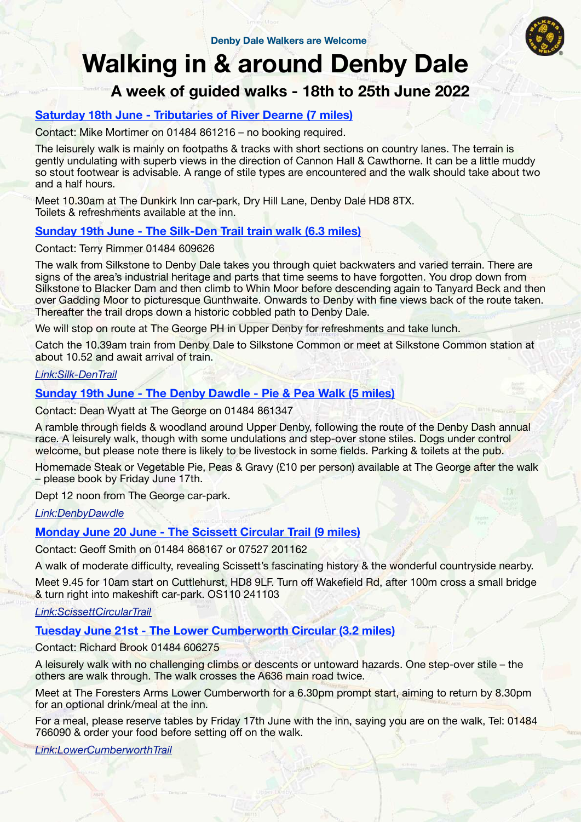

# Walking in & around Denby Dale

# A week of guided walks - 18th to 25th June 2022

## Saturday 18th June - Tributaries of River Dearne (7 miles)

Contact: Mike Mortimer on 01484 861216 – no booking required.

The leisurely walk is mainly on footpaths & tracks with short sections on country lanes. The terrain is gently undulating with superb views in the direction of Cannon Hall & Cawthorne. It can be a little muddy so stout footwear is advisable. A range of stile types are encountered and the walk should take about two and a half hours.

Meet 10.30am at The Dunkirk Inn car-park, Dry Hill Lane, Denby Dale HD8 8TX. Toilets & refreshments available at the inn.

### Sunday 19th June - The Silk-Den Trail train walk (6.3 miles)

Contact: Terry Rimmer 01484 609626

The walk from Silkstone to Denby Dale takes you through quiet backwaters and varied terrain. There are signs of the area's industrial heritage and parts that time seems to have forgotten. You drop down from Silkstone to Blacker Dam and then climb to Whin Moor before descending again to Tanyard Beck and then over Gadding Moor to picturesque Gunthwaite. Onwards to Denby with fine views back of the route taken. Thereafter the trail drops down a historic cobbled path to Denby Dale.

We will stop on route at The George PH in Upper Denby for refreshments and take lunch.

Catch the 10.39am train from Denby Dale to Silkstone Common or meet at Silkstone Common station at about 10.52 and await arrival of train.

#### Link:Silk-DenTrail

#### Sunday 19th June - The Denby Dawdle - Pie & Pea Walk (5 miles)

Contact: Dean Wyatt at The George on 01484 861347

A ramble through fields & woodland around Upper Denby, following the route of the Denby Dash annual race. A leisurely walk, though with some undulations and step-over stone stiles. Dogs under control welcome, but please note there is likely to be livestock in some fields. Parking & toilets at the pub.

Homemade Steak or Vegetable Pie, Peas & Gravy (£10 per person) available at The George after the walk – please book by Friday June 17th.

Dept 12 noon from The George car-park.

Link:DenbyDawdle

#### Monday June 20 June - The Scissett Circular Trail (9 miles)

Contact: Geoff Smith on 01484 868167 or 07527 201162

A walk of moderate difficulty, revealing Scissett's fascinating history & the wonderful countryside nearby.

Meet 9.45 for 10am start on Cuttlehurst, HD8 9LF. Turn off Wakefield Rd, after 100m cross a small bridge & turn right into makeshift car-park. OS110 241103

#### Link:ScissettCircularTrail

#### Tuesday June 21st - The Lower Cumberworth Circular (3.2 miles)

Contact: Richard Brook 01484 606275

A leisurely walk with no challenging climbs or descents or untoward hazards. One step-over stile – the others are walk through. The walk crosses the A636 main road twice.

Meet at The Foresters Arms Lower Cumberworth for a 6.30pm prompt start, aiming to return by 8.30pm for an optional drink/meal at the inn.

For a meal, please reserve tables by Friday 17th June with the inn, saying you are on the walk, Tel: 01484 766090 & order your food before setting off on the walk.

Link:LowerCumberworthTrail